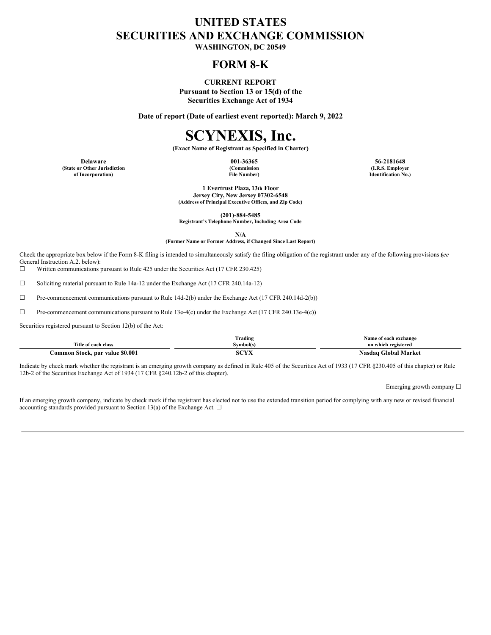## **UNITED STATES SECURITIES AND EXCHANGE COMMISSION**

**WASHINGTON, DC 20549**

## **FORM 8-K**

### **CURRENT REPORT**

**Pursuant to Section 13 or 15(d) of the Securities Exchange Act of 1934**

**Date of report (Date of earliest event reported): March 9, 2022**

# **SCYNEXIS, Inc.**

**(Exact Name of Registrant as Specified in Charter)**

**(State or Other Jurisdiction of Incorporation)**

**(Commission File Number)**

**Delaware 001-36365 56-2181648 (I.R.S. Employer Identification No.)**

> **1 Evertrust Plaza, 13th Floor Jersey City, New Jersey 07302-6548 (Address of Principal Executive Offices, and Zip Code)**

> > **(201)-884-5485**

**Registrant's Telephone Number, Including Area Code**

**N/A (Former Name or Former Address, if Changed Since Last Report)**

Check the appropriate box below if the Form 8-K filing is intended to simultaneously satisfy the filing obligation of the registrant under any of the following provisions (*see* General Instruction A.2. below):

☐ Written communications pursuant to Rule 425 under the Securities Act (17 CFR 230.425)

 $\Box$  Soliciting material pursuant to Rule 14a-12 under the Exchange Act (17 CFR 240.14a-12)

☐ Pre-commencement communications pursuant to Rule 14d-2(b) under the Exchange Act (17 CFR 240.14d-2(b))

☐ Pre-commencement communications pursuant to Rule 13e-4(c) under the Exchange Act (17 CFR 240.13e-4(c))

Securities registered pursuant to Section 12(b) of the Act:

|                                 | m<br>Trading                 | Name of each exchange                 |
|---------------------------------|------------------------------|---------------------------------------|
| Title of each class             | Vmbol(s.                     | on which registered                   |
| Common Stock, par value \$0.001 | $\sim$ 1.4 $\sim$ 2.5 $\sim$ | <b>Global Market</b><br><b>vasdao</b> |

Indicate by check mark whether the registrant is an emerging growth company as defined in Rule 405 of the Securities Act of 1933 (17 CFR §230.405 of this chapter) or Rule 12b-2 of the Securities Exchange Act of 1934 (17 CFR §240.12b-2 of this chapter).

Emerging growth company ☐

If an emerging growth company, indicate by check mark if the registrant has elected not to use the extended transition period for complying with any new or revised financial accounting standards provided pursuant to Section 13(a) of the Exchange Act.  $\Box$